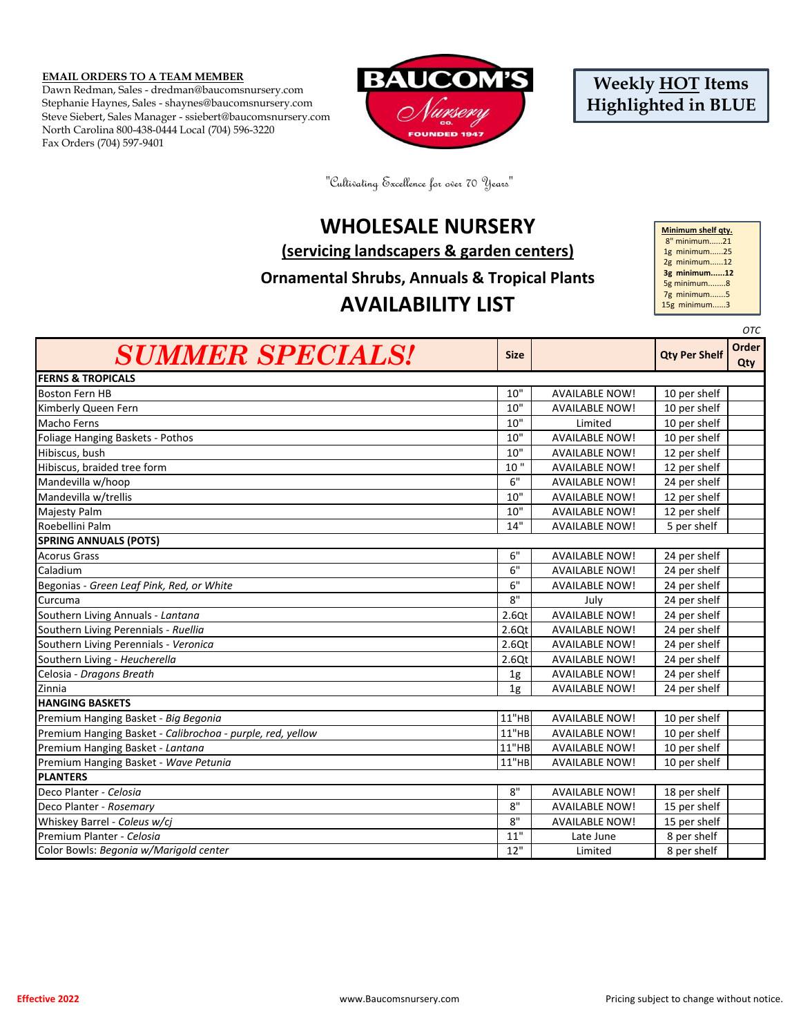## **EMAIL ORDERS TO A TEAM MEMBER**

Dawn Redman, Sales - dredman@baucomsnursery.com Stephanie Haynes, Sales - shaynes@baucomsnursery.com Steve Siebert, Sales Manager - ssiebert@baucomsnursery.com North Carolina 800-438-0444 Local (704) 596-3220 Fax Orders (704) 597-9401



**Weekly HOT Items Highlighted in BLUE**

"Cultivating Excellence for over 70 Years"

## **WHOLESALE NURSERY**

**(servicing landscapers & garden centers)**

**Ornamental Shrubs, Annuals & Tropical Plants**

## **AVAILABILITY LIST**

**Minimum shelf qty.** 8" minimum......21 1g minimum......25 2g minimum......12 **3g minimum......12** 5g minimum........8 7g minimum.......5 15g minimum......3

*OTC*

| <b>SUMMER SPECIALS!</b>                                    | <b>Size</b>    |                       | <b>Qty Per Shelf</b> | <b>Order</b><br>Qty |
|------------------------------------------------------------|----------------|-----------------------|----------------------|---------------------|
| <b>FERNS &amp; TROPICALS</b>                               |                |                       |                      |                     |
| <b>Boston Fern HB</b>                                      | 10"            | <b>AVAILABLE NOW!</b> | 10 per shelf         |                     |
| Kimberly Queen Fern                                        | 10"            | <b>AVAILABLE NOW!</b> | 10 per shelf         |                     |
| <b>Macho Ferns</b>                                         | 10"            | Limited               | 10 per shelf         |                     |
| Foliage Hanging Baskets - Pothos                           | 10"            | <b>AVAILABLE NOW!</b> | 10 per shelf         |                     |
| Hibiscus, bush                                             | 10"            | <b>AVAILABLE NOW!</b> | 12 per shelf         |                     |
| Hibiscus, braided tree form                                | 10"            | <b>AVAILABLE NOW!</b> | 12 per shelf         |                     |
| Mandevilla w/hoop                                          | 6"             | <b>AVAILABLE NOW!</b> | 24 per shelf         |                     |
| Mandevilla w/trellis                                       | 10"            | <b>AVAILABLE NOW!</b> | 12 per shelf         |                     |
| <b>Majesty Palm</b>                                        | 10"            | <b>AVAILABLE NOW!</b> | 12 per shelf         |                     |
| Roebellini Palm                                            | 14"            | <b>AVAILABLE NOW!</b> | 5 per shelf          |                     |
| <b>SPRING ANNUALS (POTS)</b>                               |                |                       |                      |                     |
| <b>Acorus Grass</b>                                        | 6"             | <b>AVAILABLE NOW!</b> | 24 per shelf         |                     |
| Caladium                                                   | 6"             | <b>AVAILABLE NOW!</b> | 24 per shelf         |                     |
| Begonias - Green Leaf Pink, Red, or White                  | 6"             | <b>AVAILABLE NOW!</b> | 24 per shelf         |                     |
| Curcuma                                                    | 8"             | July                  | 24 per shelf         |                     |
| Southern Living Annuals - Lantana                          | 2.6Qt          | <b>AVAILABLE NOW!</b> | 24 per shelf         |                     |
| Southern Living Perennials - Ruellia                       | 2.6Qt          | <b>AVAILABLE NOW!</b> | 24 per shelf         |                     |
| Southern Living Perennials - Veronica                      | 2.6Qt          | <b>AVAILABLE NOW!</b> | 24 per shelf         |                     |
| Southern Living - Heucherella                              | 2.6Qt          | <b>AVAILABLE NOW!</b> | 24 per shelf         |                     |
| Celosia - Dragons Breath                                   | 1 <sub>g</sub> | <b>AVAILABLE NOW!</b> | 24 per shelf         |                     |
| Zinnia                                                     | 1g             | <b>AVAILABLE NOW!</b> | 24 per shelf         |                     |
| <b>HANGING BASKETS</b>                                     |                |                       |                      |                     |
| Premium Hanging Basket - Big Begonia                       | 11"HB          | <b>AVAILABLE NOW!</b> | 10 per shelf         |                     |
| Premium Hanging Basket - Calibrochoa - purple, red, yellow | 11"HB          | <b>AVAILABLE NOW!</b> | 10 per shelf         |                     |
| Premium Hanging Basket - Lantana                           | 11"HB          | <b>AVAILABLE NOW!</b> | 10 per shelf         |                     |
| Premium Hanging Basket - Wave Petunia                      | 11"HB          | <b>AVAILABLE NOW!</b> | 10 per shelf         |                     |
| <b>PLANTERS</b>                                            |                |                       |                      |                     |
| Deco Planter - Celosia                                     | 8"             | <b>AVAILABLE NOW!</b> | 18 per shelf         |                     |
| Deco Planter - Rosemary                                    | 8"             | <b>AVAILABLE NOW!</b> | 15 per shelf         |                     |
| Whiskey Barrel - Coleus w/cj                               | 8"             | <b>AVAILABLE NOW!</b> | 15 per shelf         |                     |
| Premium Planter - Celosia                                  | 11"            | Late June             | 8 per shelf          |                     |
| Color Bowls: Begonia w/Marigold center                     | 12"            | Limited               | 8 per shelf          |                     |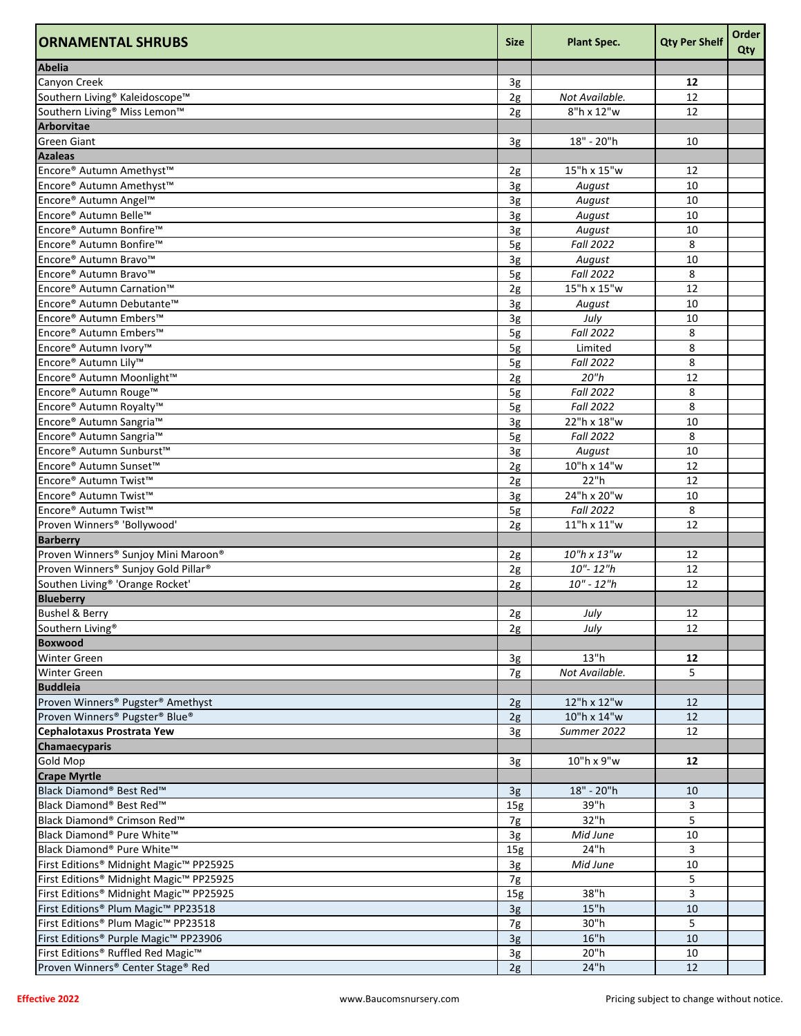| Abelia<br>Canyon Creek<br>3g<br>12<br>Southern Living® Kaleidoscope™<br>Not Available.<br>12<br>2g<br>Southern Living® Miss Lemon <sup>™</sup><br>8"h x 12"w<br>12<br>2g<br><b>Arborvitae</b><br>18" - 20"h<br><b>Green Giant</b><br>3g<br>10<br><b>Azaleas</b><br>Encore® Autumn Amethyst™<br>15"h x 15"w<br>12<br>2g<br>Encore® Autumn Amethyst™<br>10<br>3g<br>August<br>Encore® Autumn Angel™<br>10<br>3g<br>August<br>Encore® Autumn Belle™<br>10<br>3g<br>August<br>Encore® Autumn Bonfire™<br>10<br>3g<br>August<br>8<br>Encore® Autumn Bonfire™<br>5g<br><b>Fall 2022</b><br>10<br>Encore® Autumn Bravo <sup>™</sup><br>3g<br>August<br>Encore® Autumn Bravo™<br><b>Fall 2022</b><br>8<br>5g<br>15"h x 15"w<br>Encore® Autumn Carnation™<br>12<br>2g<br>Encore® Autumn Debutante™<br>3g<br>10<br>August<br>Encore® Autumn Embers™<br>July<br>3g<br>10<br>Encore® Autumn Embers™<br><b>Fall 2022</b><br>8<br>5g<br>Encore® Autumn Ivory™<br>8<br>Limited<br>5g<br>Encore® Autumn Lily™<br>8<br><b>Fall 2022</b><br>5g<br>Encore® Autumn Moonlight™<br>20 <sup>th</sup><br>12<br>2g<br>Encore® Autumn Rouge™<br><b>Fall 2022</b><br>8<br>5g<br>8<br>Encore® Autumn Royalty™<br><b>Fall 2022</b><br>5g<br>Encore® Autumn Sangria™<br>22"h x 18"w<br>10<br>3g<br>Encore® Autumn Sangria™<br><b>Fall 2022</b><br>8<br>5g<br>Encore® Autumn Sunburst™<br>10<br>August<br>3g<br>10"h x 14"w<br>Encore® Autumn Sunset™<br>12<br>2g<br>Encore® Autumn Twist™<br>22"h<br>12<br>2g<br>Encore® Autumn Twist™<br>24"h x 20"w<br>3g<br>10<br>Encore® Autumn Twist™<br><b>Fall 2022</b><br>8<br>5g<br>11"h x 11"w<br>Proven Winners® 'Bollywood'<br>12<br>2g<br><b>Barberry</b><br>Proven Winners® Sunjoy Mini Maroon®<br>10"h x 13"w<br>2g<br>12<br>10"-12"h<br>Proven Winners® Sunjoy Gold Pillar®<br>12<br>2g<br>Southen Living <sup>®</sup> 'Orange Rocket'<br>$10'' - 12''h$<br>12<br>2g<br><b>Blueberry</b><br><b>Bushel &amp; Berry</b><br>July<br>2g<br>12<br>12<br>Southern Living <sup>®</sup><br>July<br>2g<br><b>Boxwood</b><br>13"h<br>Winter Green<br>12<br>3g<br>Winter Green<br>Not Available.<br>5<br>7g<br><b>Buddleia</b><br>Proven Winners® Pugster® Amethyst<br>12"h x 12"w<br>12<br>2g<br>10"h x 14"w<br>Proven Winners® Pugster® Blue®<br>12<br>2g<br>Summer 2022<br>Cephalotaxus Prostrata Yew<br>12<br>3g<br>Chamaecyparis<br>Gold Mop<br>10"h x 9"w<br>12<br>3g<br><b>Crape Myrtle</b><br>Black Diamond® Best Red™<br>18" - 20"h<br>10<br>3g<br>Black Diamond® Best Red™<br>39"h<br>3<br>15g<br>5<br>Black Diamond® Crimson Red™<br>32"h<br>7g<br>Black Diamond® Pure White™<br>Mid June<br>10<br>3g<br>Black Diamond® Pure White™<br>$\mathbf{3}$<br>24"h<br>15g<br>First Editions® Midnight Magic™ PP25925<br>3g<br>Mid June<br>10<br>First Editions® Midnight Magic™ PP25925<br>5<br>7g<br>$\mathbf{3}$<br>38"h<br>First Editions® Midnight Magic™ PP25925<br>15g<br>First Editions® Plum Magic <sup>™</sup> PP23518<br>15"h<br>10<br>3g<br>First Editions® Plum Magic™ PP23518<br>30"h<br>5<br>7g<br>First Editions® Purple Magic™ PP23906<br>16"h<br>10<br>3g<br>20"h<br>First Editions® Ruffled Red Magic™<br>10<br>3g<br>Proven Winners® Center Stage® Red<br>24"h<br>12 | <b>ORNAMENTAL SHRUBS</b> | <b>Size</b> | <b>Plant Spec.</b> | <b>Qty Per Shelf</b> | <b>Order</b><br>Qty |
|----------------------------------------------------------------------------------------------------------------------------------------------------------------------------------------------------------------------------------------------------------------------------------------------------------------------------------------------------------------------------------------------------------------------------------------------------------------------------------------------------------------------------------------------------------------------------------------------------------------------------------------------------------------------------------------------------------------------------------------------------------------------------------------------------------------------------------------------------------------------------------------------------------------------------------------------------------------------------------------------------------------------------------------------------------------------------------------------------------------------------------------------------------------------------------------------------------------------------------------------------------------------------------------------------------------------------------------------------------------------------------------------------------------------------------------------------------------------------------------------------------------------------------------------------------------------------------------------------------------------------------------------------------------------------------------------------------------------------------------------------------------------------------------------------------------------------------------------------------------------------------------------------------------------------------------------------------------------------------------------------------------------------------------------------------------------------------------------------------------------------------------------------------------------------------------------------------------------------------------------------------------------------------------------------------------------------------------------------------------------------------------------------------------------------------------------------------------------------------------------------------------------------------------------------------------------------------------------------------------------------------------------------------------------------------------------------------------------------------------------------------------------------------------------------------------------------------------------------------------------------------------------------------------------------------------------------------------------------------------------------------------------------------------------------------------------------------------------------------------------------------------------------------------------------------------------------|--------------------------|-------------|--------------------|----------------------|---------------------|
|                                                                                                                                                                                                                                                                                                                                                                                                                                                                                                                                                                                                                                                                                                                                                                                                                                                                                                                                                                                                                                                                                                                                                                                                                                                                                                                                                                                                                                                                                                                                                                                                                                                                                                                                                                                                                                                                                                                                                                                                                                                                                                                                                                                                                                                                                                                                                                                                                                                                                                                                                                                                                                                                                                                                                                                                                                                                                                                                                                                                                                                                                                                                                                                                    |                          |             |                    |                      |                     |
|                                                                                                                                                                                                                                                                                                                                                                                                                                                                                                                                                                                                                                                                                                                                                                                                                                                                                                                                                                                                                                                                                                                                                                                                                                                                                                                                                                                                                                                                                                                                                                                                                                                                                                                                                                                                                                                                                                                                                                                                                                                                                                                                                                                                                                                                                                                                                                                                                                                                                                                                                                                                                                                                                                                                                                                                                                                                                                                                                                                                                                                                                                                                                                                                    |                          |             |                    |                      |                     |
|                                                                                                                                                                                                                                                                                                                                                                                                                                                                                                                                                                                                                                                                                                                                                                                                                                                                                                                                                                                                                                                                                                                                                                                                                                                                                                                                                                                                                                                                                                                                                                                                                                                                                                                                                                                                                                                                                                                                                                                                                                                                                                                                                                                                                                                                                                                                                                                                                                                                                                                                                                                                                                                                                                                                                                                                                                                                                                                                                                                                                                                                                                                                                                                                    |                          |             |                    |                      |                     |
|                                                                                                                                                                                                                                                                                                                                                                                                                                                                                                                                                                                                                                                                                                                                                                                                                                                                                                                                                                                                                                                                                                                                                                                                                                                                                                                                                                                                                                                                                                                                                                                                                                                                                                                                                                                                                                                                                                                                                                                                                                                                                                                                                                                                                                                                                                                                                                                                                                                                                                                                                                                                                                                                                                                                                                                                                                                                                                                                                                                                                                                                                                                                                                                                    |                          |             |                    |                      |                     |
|                                                                                                                                                                                                                                                                                                                                                                                                                                                                                                                                                                                                                                                                                                                                                                                                                                                                                                                                                                                                                                                                                                                                                                                                                                                                                                                                                                                                                                                                                                                                                                                                                                                                                                                                                                                                                                                                                                                                                                                                                                                                                                                                                                                                                                                                                                                                                                                                                                                                                                                                                                                                                                                                                                                                                                                                                                                                                                                                                                                                                                                                                                                                                                                                    |                          |             |                    |                      |                     |
|                                                                                                                                                                                                                                                                                                                                                                                                                                                                                                                                                                                                                                                                                                                                                                                                                                                                                                                                                                                                                                                                                                                                                                                                                                                                                                                                                                                                                                                                                                                                                                                                                                                                                                                                                                                                                                                                                                                                                                                                                                                                                                                                                                                                                                                                                                                                                                                                                                                                                                                                                                                                                                                                                                                                                                                                                                                                                                                                                                                                                                                                                                                                                                                                    |                          |             |                    |                      |                     |
|                                                                                                                                                                                                                                                                                                                                                                                                                                                                                                                                                                                                                                                                                                                                                                                                                                                                                                                                                                                                                                                                                                                                                                                                                                                                                                                                                                                                                                                                                                                                                                                                                                                                                                                                                                                                                                                                                                                                                                                                                                                                                                                                                                                                                                                                                                                                                                                                                                                                                                                                                                                                                                                                                                                                                                                                                                                                                                                                                                                                                                                                                                                                                                                                    |                          |             |                    |                      |                     |
|                                                                                                                                                                                                                                                                                                                                                                                                                                                                                                                                                                                                                                                                                                                                                                                                                                                                                                                                                                                                                                                                                                                                                                                                                                                                                                                                                                                                                                                                                                                                                                                                                                                                                                                                                                                                                                                                                                                                                                                                                                                                                                                                                                                                                                                                                                                                                                                                                                                                                                                                                                                                                                                                                                                                                                                                                                                                                                                                                                                                                                                                                                                                                                                                    |                          |             |                    |                      |                     |
|                                                                                                                                                                                                                                                                                                                                                                                                                                                                                                                                                                                                                                                                                                                                                                                                                                                                                                                                                                                                                                                                                                                                                                                                                                                                                                                                                                                                                                                                                                                                                                                                                                                                                                                                                                                                                                                                                                                                                                                                                                                                                                                                                                                                                                                                                                                                                                                                                                                                                                                                                                                                                                                                                                                                                                                                                                                                                                                                                                                                                                                                                                                                                                                                    |                          |             |                    |                      |                     |
|                                                                                                                                                                                                                                                                                                                                                                                                                                                                                                                                                                                                                                                                                                                                                                                                                                                                                                                                                                                                                                                                                                                                                                                                                                                                                                                                                                                                                                                                                                                                                                                                                                                                                                                                                                                                                                                                                                                                                                                                                                                                                                                                                                                                                                                                                                                                                                                                                                                                                                                                                                                                                                                                                                                                                                                                                                                                                                                                                                                                                                                                                                                                                                                                    |                          |             |                    |                      |                     |
|                                                                                                                                                                                                                                                                                                                                                                                                                                                                                                                                                                                                                                                                                                                                                                                                                                                                                                                                                                                                                                                                                                                                                                                                                                                                                                                                                                                                                                                                                                                                                                                                                                                                                                                                                                                                                                                                                                                                                                                                                                                                                                                                                                                                                                                                                                                                                                                                                                                                                                                                                                                                                                                                                                                                                                                                                                                                                                                                                                                                                                                                                                                                                                                                    |                          |             |                    |                      |                     |
|                                                                                                                                                                                                                                                                                                                                                                                                                                                                                                                                                                                                                                                                                                                                                                                                                                                                                                                                                                                                                                                                                                                                                                                                                                                                                                                                                                                                                                                                                                                                                                                                                                                                                                                                                                                                                                                                                                                                                                                                                                                                                                                                                                                                                                                                                                                                                                                                                                                                                                                                                                                                                                                                                                                                                                                                                                                                                                                                                                                                                                                                                                                                                                                                    |                          |             |                    |                      |                     |
|                                                                                                                                                                                                                                                                                                                                                                                                                                                                                                                                                                                                                                                                                                                                                                                                                                                                                                                                                                                                                                                                                                                                                                                                                                                                                                                                                                                                                                                                                                                                                                                                                                                                                                                                                                                                                                                                                                                                                                                                                                                                                                                                                                                                                                                                                                                                                                                                                                                                                                                                                                                                                                                                                                                                                                                                                                                                                                                                                                                                                                                                                                                                                                                                    |                          |             |                    |                      |                     |
|                                                                                                                                                                                                                                                                                                                                                                                                                                                                                                                                                                                                                                                                                                                                                                                                                                                                                                                                                                                                                                                                                                                                                                                                                                                                                                                                                                                                                                                                                                                                                                                                                                                                                                                                                                                                                                                                                                                                                                                                                                                                                                                                                                                                                                                                                                                                                                                                                                                                                                                                                                                                                                                                                                                                                                                                                                                                                                                                                                                                                                                                                                                                                                                                    |                          |             |                    |                      |                     |
|                                                                                                                                                                                                                                                                                                                                                                                                                                                                                                                                                                                                                                                                                                                                                                                                                                                                                                                                                                                                                                                                                                                                                                                                                                                                                                                                                                                                                                                                                                                                                                                                                                                                                                                                                                                                                                                                                                                                                                                                                                                                                                                                                                                                                                                                                                                                                                                                                                                                                                                                                                                                                                                                                                                                                                                                                                                                                                                                                                                                                                                                                                                                                                                                    |                          |             |                    |                      |                     |
|                                                                                                                                                                                                                                                                                                                                                                                                                                                                                                                                                                                                                                                                                                                                                                                                                                                                                                                                                                                                                                                                                                                                                                                                                                                                                                                                                                                                                                                                                                                                                                                                                                                                                                                                                                                                                                                                                                                                                                                                                                                                                                                                                                                                                                                                                                                                                                                                                                                                                                                                                                                                                                                                                                                                                                                                                                                                                                                                                                                                                                                                                                                                                                                                    |                          |             |                    |                      |                     |
|                                                                                                                                                                                                                                                                                                                                                                                                                                                                                                                                                                                                                                                                                                                                                                                                                                                                                                                                                                                                                                                                                                                                                                                                                                                                                                                                                                                                                                                                                                                                                                                                                                                                                                                                                                                                                                                                                                                                                                                                                                                                                                                                                                                                                                                                                                                                                                                                                                                                                                                                                                                                                                                                                                                                                                                                                                                                                                                                                                                                                                                                                                                                                                                                    |                          |             |                    |                      |                     |
|                                                                                                                                                                                                                                                                                                                                                                                                                                                                                                                                                                                                                                                                                                                                                                                                                                                                                                                                                                                                                                                                                                                                                                                                                                                                                                                                                                                                                                                                                                                                                                                                                                                                                                                                                                                                                                                                                                                                                                                                                                                                                                                                                                                                                                                                                                                                                                                                                                                                                                                                                                                                                                                                                                                                                                                                                                                                                                                                                                                                                                                                                                                                                                                                    |                          |             |                    |                      |                     |
|                                                                                                                                                                                                                                                                                                                                                                                                                                                                                                                                                                                                                                                                                                                                                                                                                                                                                                                                                                                                                                                                                                                                                                                                                                                                                                                                                                                                                                                                                                                                                                                                                                                                                                                                                                                                                                                                                                                                                                                                                                                                                                                                                                                                                                                                                                                                                                                                                                                                                                                                                                                                                                                                                                                                                                                                                                                                                                                                                                                                                                                                                                                                                                                                    |                          |             |                    |                      |                     |
|                                                                                                                                                                                                                                                                                                                                                                                                                                                                                                                                                                                                                                                                                                                                                                                                                                                                                                                                                                                                                                                                                                                                                                                                                                                                                                                                                                                                                                                                                                                                                                                                                                                                                                                                                                                                                                                                                                                                                                                                                                                                                                                                                                                                                                                                                                                                                                                                                                                                                                                                                                                                                                                                                                                                                                                                                                                                                                                                                                                                                                                                                                                                                                                                    |                          |             |                    |                      |                     |
|                                                                                                                                                                                                                                                                                                                                                                                                                                                                                                                                                                                                                                                                                                                                                                                                                                                                                                                                                                                                                                                                                                                                                                                                                                                                                                                                                                                                                                                                                                                                                                                                                                                                                                                                                                                                                                                                                                                                                                                                                                                                                                                                                                                                                                                                                                                                                                                                                                                                                                                                                                                                                                                                                                                                                                                                                                                                                                                                                                                                                                                                                                                                                                                                    |                          |             |                    |                      |                     |
|                                                                                                                                                                                                                                                                                                                                                                                                                                                                                                                                                                                                                                                                                                                                                                                                                                                                                                                                                                                                                                                                                                                                                                                                                                                                                                                                                                                                                                                                                                                                                                                                                                                                                                                                                                                                                                                                                                                                                                                                                                                                                                                                                                                                                                                                                                                                                                                                                                                                                                                                                                                                                                                                                                                                                                                                                                                                                                                                                                                                                                                                                                                                                                                                    |                          |             |                    |                      |                     |
|                                                                                                                                                                                                                                                                                                                                                                                                                                                                                                                                                                                                                                                                                                                                                                                                                                                                                                                                                                                                                                                                                                                                                                                                                                                                                                                                                                                                                                                                                                                                                                                                                                                                                                                                                                                                                                                                                                                                                                                                                                                                                                                                                                                                                                                                                                                                                                                                                                                                                                                                                                                                                                                                                                                                                                                                                                                                                                                                                                                                                                                                                                                                                                                                    |                          |             |                    |                      |                     |
|                                                                                                                                                                                                                                                                                                                                                                                                                                                                                                                                                                                                                                                                                                                                                                                                                                                                                                                                                                                                                                                                                                                                                                                                                                                                                                                                                                                                                                                                                                                                                                                                                                                                                                                                                                                                                                                                                                                                                                                                                                                                                                                                                                                                                                                                                                                                                                                                                                                                                                                                                                                                                                                                                                                                                                                                                                                                                                                                                                                                                                                                                                                                                                                                    |                          |             |                    |                      |                     |
|                                                                                                                                                                                                                                                                                                                                                                                                                                                                                                                                                                                                                                                                                                                                                                                                                                                                                                                                                                                                                                                                                                                                                                                                                                                                                                                                                                                                                                                                                                                                                                                                                                                                                                                                                                                                                                                                                                                                                                                                                                                                                                                                                                                                                                                                                                                                                                                                                                                                                                                                                                                                                                                                                                                                                                                                                                                                                                                                                                                                                                                                                                                                                                                                    |                          |             |                    |                      |                     |
|                                                                                                                                                                                                                                                                                                                                                                                                                                                                                                                                                                                                                                                                                                                                                                                                                                                                                                                                                                                                                                                                                                                                                                                                                                                                                                                                                                                                                                                                                                                                                                                                                                                                                                                                                                                                                                                                                                                                                                                                                                                                                                                                                                                                                                                                                                                                                                                                                                                                                                                                                                                                                                                                                                                                                                                                                                                                                                                                                                                                                                                                                                                                                                                                    |                          |             |                    |                      |                     |
|                                                                                                                                                                                                                                                                                                                                                                                                                                                                                                                                                                                                                                                                                                                                                                                                                                                                                                                                                                                                                                                                                                                                                                                                                                                                                                                                                                                                                                                                                                                                                                                                                                                                                                                                                                                                                                                                                                                                                                                                                                                                                                                                                                                                                                                                                                                                                                                                                                                                                                                                                                                                                                                                                                                                                                                                                                                                                                                                                                                                                                                                                                                                                                                                    |                          |             |                    |                      |                     |
|                                                                                                                                                                                                                                                                                                                                                                                                                                                                                                                                                                                                                                                                                                                                                                                                                                                                                                                                                                                                                                                                                                                                                                                                                                                                                                                                                                                                                                                                                                                                                                                                                                                                                                                                                                                                                                                                                                                                                                                                                                                                                                                                                                                                                                                                                                                                                                                                                                                                                                                                                                                                                                                                                                                                                                                                                                                                                                                                                                                                                                                                                                                                                                                                    |                          |             |                    |                      |                     |
|                                                                                                                                                                                                                                                                                                                                                                                                                                                                                                                                                                                                                                                                                                                                                                                                                                                                                                                                                                                                                                                                                                                                                                                                                                                                                                                                                                                                                                                                                                                                                                                                                                                                                                                                                                                                                                                                                                                                                                                                                                                                                                                                                                                                                                                                                                                                                                                                                                                                                                                                                                                                                                                                                                                                                                                                                                                                                                                                                                                                                                                                                                                                                                                                    |                          |             |                    |                      |                     |
|                                                                                                                                                                                                                                                                                                                                                                                                                                                                                                                                                                                                                                                                                                                                                                                                                                                                                                                                                                                                                                                                                                                                                                                                                                                                                                                                                                                                                                                                                                                                                                                                                                                                                                                                                                                                                                                                                                                                                                                                                                                                                                                                                                                                                                                                                                                                                                                                                                                                                                                                                                                                                                                                                                                                                                                                                                                                                                                                                                                                                                                                                                                                                                                                    |                          |             |                    |                      |                     |
|                                                                                                                                                                                                                                                                                                                                                                                                                                                                                                                                                                                                                                                                                                                                                                                                                                                                                                                                                                                                                                                                                                                                                                                                                                                                                                                                                                                                                                                                                                                                                                                                                                                                                                                                                                                                                                                                                                                                                                                                                                                                                                                                                                                                                                                                                                                                                                                                                                                                                                                                                                                                                                                                                                                                                                                                                                                                                                                                                                                                                                                                                                                                                                                                    |                          |             |                    |                      |                     |
|                                                                                                                                                                                                                                                                                                                                                                                                                                                                                                                                                                                                                                                                                                                                                                                                                                                                                                                                                                                                                                                                                                                                                                                                                                                                                                                                                                                                                                                                                                                                                                                                                                                                                                                                                                                                                                                                                                                                                                                                                                                                                                                                                                                                                                                                                                                                                                                                                                                                                                                                                                                                                                                                                                                                                                                                                                                                                                                                                                                                                                                                                                                                                                                                    |                          |             |                    |                      |                     |
|                                                                                                                                                                                                                                                                                                                                                                                                                                                                                                                                                                                                                                                                                                                                                                                                                                                                                                                                                                                                                                                                                                                                                                                                                                                                                                                                                                                                                                                                                                                                                                                                                                                                                                                                                                                                                                                                                                                                                                                                                                                                                                                                                                                                                                                                                                                                                                                                                                                                                                                                                                                                                                                                                                                                                                                                                                                                                                                                                                                                                                                                                                                                                                                                    |                          |             |                    |                      |                     |
|                                                                                                                                                                                                                                                                                                                                                                                                                                                                                                                                                                                                                                                                                                                                                                                                                                                                                                                                                                                                                                                                                                                                                                                                                                                                                                                                                                                                                                                                                                                                                                                                                                                                                                                                                                                                                                                                                                                                                                                                                                                                                                                                                                                                                                                                                                                                                                                                                                                                                                                                                                                                                                                                                                                                                                                                                                                                                                                                                                                                                                                                                                                                                                                                    |                          |             |                    |                      |                     |
|                                                                                                                                                                                                                                                                                                                                                                                                                                                                                                                                                                                                                                                                                                                                                                                                                                                                                                                                                                                                                                                                                                                                                                                                                                                                                                                                                                                                                                                                                                                                                                                                                                                                                                                                                                                                                                                                                                                                                                                                                                                                                                                                                                                                                                                                                                                                                                                                                                                                                                                                                                                                                                                                                                                                                                                                                                                                                                                                                                                                                                                                                                                                                                                                    |                          |             |                    |                      |                     |
|                                                                                                                                                                                                                                                                                                                                                                                                                                                                                                                                                                                                                                                                                                                                                                                                                                                                                                                                                                                                                                                                                                                                                                                                                                                                                                                                                                                                                                                                                                                                                                                                                                                                                                                                                                                                                                                                                                                                                                                                                                                                                                                                                                                                                                                                                                                                                                                                                                                                                                                                                                                                                                                                                                                                                                                                                                                                                                                                                                                                                                                                                                                                                                                                    |                          |             |                    |                      |                     |
|                                                                                                                                                                                                                                                                                                                                                                                                                                                                                                                                                                                                                                                                                                                                                                                                                                                                                                                                                                                                                                                                                                                                                                                                                                                                                                                                                                                                                                                                                                                                                                                                                                                                                                                                                                                                                                                                                                                                                                                                                                                                                                                                                                                                                                                                                                                                                                                                                                                                                                                                                                                                                                                                                                                                                                                                                                                                                                                                                                                                                                                                                                                                                                                                    |                          |             |                    |                      |                     |
|                                                                                                                                                                                                                                                                                                                                                                                                                                                                                                                                                                                                                                                                                                                                                                                                                                                                                                                                                                                                                                                                                                                                                                                                                                                                                                                                                                                                                                                                                                                                                                                                                                                                                                                                                                                                                                                                                                                                                                                                                                                                                                                                                                                                                                                                                                                                                                                                                                                                                                                                                                                                                                                                                                                                                                                                                                                                                                                                                                                                                                                                                                                                                                                                    |                          |             |                    |                      |                     |
|                                                                                                                                                                                                                                                                                                                                                                                                                                                                                                                                                                                                                                                                                                                                                                                                                                                                                                                                                                                                                                                                                                                                                                                                                                                                                                                                                                                                                                                                                                                                                                                                                                                                                                                                                                                                                                                                                                                                                                                                                                                                                                                                                                                                                                                                                                                                                                                                                                                                                                                                                                                                                                                                                                                                                                                                                                                                                                                                                                                                                                                                                                                                                                                                    |                          |             |                    |                      |                     |
|                                                                                                                                                                                                                                                                                                                                                                                                                                                                                                                                                                                                                                                                                                                                                                                                                                                                                                                                                                                                                                                                                                                                                                                                                                                                                                                                                                                                                                                                                                                                                                                                                                                                                                                                                                                                                                                                                                                                                                                                                                                                                                                                                                                                                                                                                                                                                                                                                                                                                                                                                                                                                                                                                                                                                                                                                                                                                                                                                                                                                                                                                                                                                                                                    |                          |             |                    |                      |                     |
|                                                                                                                                                                                                                                                                                                                                                                                                                                                                                                                                                                                                                                                                                                                                                                                                                                                                                                                                                                                                                                                                                                                                                                                                                                                                                                                                                                                                                                                                                                                                                                                                                                                                                                                                                                                                                                                                                                                                                                                                                                                                                                                                                                                                                                                                                                                                                                                                                                                                                                                                                                                                                                                                                                                                                                                                                                                                                                                                                                                                                                                                                                                                                                                                    |                          |             |                    |                      |                     |
|                                                                                                                                                                                                                                                                                                                                                                                                                                                                                                                                                                                                                                                                                                                                                                                                                                                                                                                                                                                                                                                                                                                                                                                                                                                                                                                                                                                                                                                                                                                                                                                                                                                                                                                                                                                                                                                                                                                                                                                                                                                                                                                                                                                                                                                                                                                                                                                                                                                                                                                                                                                                                                                                                                                                                                                                                                                                                                                                                                                                                                                                                                                                                                                                    |                          |             |                    |                      |                     |
|                                                                                                                                                                                                                                                                                                                                                                                                                                                                                                                                                                                                                                                                                                                                                                                                                                                                                                                                                                                                                                                                                                                                                                                                                                                                                                                                                                                                                                                                                                                                                                                                                                                                                                                                                                                                                                                                                                                                                                                                                                                                                                                                                                                                                                                                                                                                                                                                                                                                                                                                                                                                                                                                                                                                                                                                                                                                                                                                                                                                                                                                                                                                                                                                    |                          |             |                    |                      |                     |
|                                                                                                                                                                                                                                                                                                                                                                                                                                                                                                                                                                                                                                                                                                                                                                                                                                                                                                                                                                                                                                                                                                                                                                                                                                                                                                                                                                                                                                                                                                                                                                                                                                                                                                                                                                                                                                                                                                                                                                                                                                                                                                                                                                                                                                                                                                                                                                                                                                                                                                                                                                                                                                                                                                                                                                                                                                                                                                                                                                                                                                                                                                                                                                                                    |                          |             |                    |                      |                     |
|                                                                                                                                                                                                                                                                                                                                                                                                                                                                                                                                                                                                                                                                                                                                                                                                                                                                                                                                                                                                                                                                                                                                                                                                                                                                                                                                                                                                                                                                                                                                                                                                                                                                                                                                                                                                                                                                                                                                                                                                                                                                                                                                                                                                                                                                                                                                                                                                                                                                                                                                                                                                                                                                                                                                                                                                                                                                                                                                                                                                                                                                                                                                                                                                    |                          |             |                    |                      |                     |
|                                                                                                                                                                                                                                                                                                                                                                                                                                                                                                                                                                                                                                                                                                                                                                                                                                                                                                                                                                                                                                                                                                                                                                                                                                                                                                                                                                                                                                                                                                                                                                                                                                                                                                                                                                                                                                                                                                                                                                                                                                                                                                                                                                                                                                                                                                                                                                                                                                                                                                                                                                                                                                                                                                                                                                                                                                                                                                                                                                                                                                                                                                                                                                                                    |                          |             |                    |                      |                     |
|                                                                                                                                                                                                                                                                                                                                                                                                                                                                                                                                                                                                                                                                                                                                                                                                                                                                                                                                                                                                                                                                                                                                                                                                                                                                                                                                                                                                                                                                                                                                                                                                                                                                                                                                                                                                                                                                                                                                                                                                                                                                                                                                                                                                                                                                                                                                                                                                                                                                                                                                                                                                                                                                                                                                                                                                                                                                                                                                                                                                                                                                                                                                                                                                    |                          |             |                    |                      |                     |
|                                                                                                                                                                                                                                                                                                                                                                                                                                                                                                                                                                                                                                                                                                                                                                                                                                                                                                                                                                                                                                                                                                                                                                                                                                                                                                                                                                                                                                                                                                                                                                                                                                                                                                                                                                                                                                                                                                                                                                                                                                                                                                                                                                                                                                                                                                                                                                                                                                                                                                                                                                                                                                                                                                                                                                                                                                                                                                                                                                                                                                                                                                                                                                                                    |                          |             |                    |                      |                     |
|                                                                                                                                                                                                                                                                                                                                                                                                                                                                                                                                                                                                                                                                                                                                                                                                                                                                                                                                                                                                                                                                                                                                                                                                                                                                                                                                                                                                                                                                                                                                                                                                                                                                                                                                                                                                                                                                                                                                                                                                                                                                                                                                                                                                                                                                                                                                                                                                                                                                                                                                                                                                                                                                                                                                                                                                                                                                                                                                                                                                                                                                                                                                                                                                    |                          |             |                    |                      |                     |
|                                                                                                                                                                                                                                                                                                                                                                                                                                                                                                                                                                                                                                                                                                                                                                                                                                                                                                                                                                                                                                                                                                                                                                                                                                                                                                                                                                                                                                                                                                                                                                                                                                                                                                                                                                                                                                                                                                                                                                                                                                                                                                                                                                                                                                                                                                                                                                                                                                                                                                                                                                                                                                                                                                                                                                                                                                                                                                                                                                                                                                                                                                                                                                                                    |                          |             |                    |                      |                     |
|                                                                                                                                                                                                                                                                                                                                                                                                                                                                                                                                                                                                                                                                                                                                                                                                                                                                                                                                                                                                                                                                                                                                                                                                                                                                                                                                                                                                                                                                                                                                                                                                                                                                                                                                                                                                                                                                                                                                                                                                                                                                                                                                                                                                                                                                                                                                                                                                                                                                                                                                                                                                                                                                                                                                                                                                                                                                                                                                                                                                                                                                                                                                                                                                    |                          |             |                    |                      |                     |
|                                                                                                                                                                                                                                                                                                                                                                                                                                                                                                                                                                                                                                                                                                                                                                                                                                                                                                                                                                                                                                                                                                                                                                                                                                                                                                                                                                                                                                                                                                                                                                                                                                                                                                                                                                                                                                                                                                                                                                                                                                                                                                                                                                                                                                                                                                                                                                                                                                                                                                                                                                                                                                                                                                                                                                                                                                                                                                                                                                                                                                                                                                                                                                                                    |                          |             |                    |                      |                     |
|                                                                                                                                                                                                                                                                                                                                                                                                                                                                                                                                                                                                                                                                                                                                                                                                                                                                                                                                                                                                                                                                                                                                                                                                                                                                                                                                                                                                                                                                                                                                                                                                                                                                                                                                                                                                                                                                                                                                                                                                                                                                                                                                                                                                                                                                                                                                                                                                                                                                                                                                                                                                                                                                                                                                                                                                                                                                                                                                                                                                                                                                                                                                                                                                    |                          |             |                    |                      |                     |
|                                                                                                                                                                                                                                                                                                                                                                                                                                                                                                                                                                                                                                                                                                                                                                                                                                                                                                                                                                                                                                                                                                                                                                                                                                                                                                                                                                                                                                                                                                                                                                                                                                                                                                                                                                                                                                                                                                                                                                                                                                                                                                                                                                                                                                                                                                                                                                                                                                                                                                                                                                                                                                                                                                                                                                                                                                                                                                                                                                                                                                                                                                                                                                                                    |                          |             |                    |                      |                     |
|                                                                                                                                                                                                                                                                                                                                                                                                                                                                                                                                                                                                                                                                                                                                                                                                                                                                                                                                                                                                                                                                                                                                                                                                                                                                                                                                                                                                                                                                                                                                                                                                                                                                                                                                                                                                                                                                                                                                                                                                                                                                                                                                                                                                                                                                                                                                                                                                                                                                                                                                                                                                                                                                                                                                                                                                                                                                                                                                                                                                                                                                                                                                                                                                    |                          |             |                    |                      |                     |
|                                                                                                                                                                                                                                                                                                                                                                                                                                                                                                                                                                                                                                                                                                                                                                                                                                                                                                                                                                                                                                                                                                                                                                                                                                                                                                                                                                                                                                                                                                                                                                                                                                                                                                                                                                                                                                                                                                                                                                                                                                                                                                                                                                                                                                                                                                                                                                                                                                                                                                                                                                                                                                                                                                                                                                                                                                                                                                                                                                                                                                                                                                                                                                                                    |                          |             |                    |                      |                     |
|                                                                                                                                                                                                                                                                                                                                                                                                                                                                                                                                                                                                                                                                                                                                                                                                                                                                                                                                                                                                                                                                                                                                                                                                                                                                                                                                                                                                                                                                                                                                                                                                                                                                                                                                                                                                                                                                                                                                                                                                                                                                                                                                                                                                                                                                                                                                                                                                                                                                                                                                                                                                                                                                                                                                                                                                                                                                                                                                                                                                                                                                                                                                                                                                    |                          |             |                    |                      |                     |
|                                                                                                                                                                                                                                                                                                                                                                                                                                                                                                                                                                                                                                                                                                                                                                                                                                                                                                                                                                                                                                                                                                                                                                                                                                                                                                                                                                                                                                                                                                                                                                                                                                                                                                                                                                                                                                                                                                                                                                                                                                                                                                                                                                                                                                                                                                                                                                                                                                                                                                                                                                                                                                                                                                                                                                                                                                                                                                                                                                                                                                                                                                                                                                                                    |                          |             |                    |                      |                     |
|                                                                                                                                                                                                                                                                                                                                                                                                                                                                                                                                                                                                                                                                                                                                                                                                                                                                                                                                                                                                                                                                                                                                                                                                                                                                                                                                                                                                                                                                                                                                                                                                                                                                                                                                                                                                                                                                                                                                                                                                                                                                                                                                                                                                                                                                                                                                                                                                                                                                                                                                                                                                                                                                                                                                                                                                                                                                                                                                                                                                                                                                                                                                                                                                    |                          |             |                    |                      |                     |
|                                                                                                                                                                                                                                                                                                                                                                                                                                                                                                                                                                                                                                                                                                                                                                                                                                                                                                                                                                                                                                                                                                                                                                                                                                                                                                                                                                                                                                                                                                                                                                                                                                                                                                                                                                                                                                                                                                                                                                                                                                                                                                                                                                                                                                                                                                                                                                                                                                                                                                                                                                                                                                                                                                                                                                                                                                                                                                                                                                                                                                                                                                                                                                                                    |                          |             |                    |                      |                     |
|                                                                                                                                                                                                                                                                                                                                                                                                                                                                                                                                                                                                                                                                                                                                                                                                                                                                                                                                                                                                                                                                                                                                                                                                                                                                                                                                                                                                                                                                                                                                                                                                                                                                                                                                                                                                                                                                                                                                                                                                                                                                                                                                                                                                                                                                                                                                                                                                                                                                                                                                                                                                                                                                                                                                                                                                                                                                                                                                                                                                                                                                                                                                                                                                    |                          | 2g          |                    |                      |                     |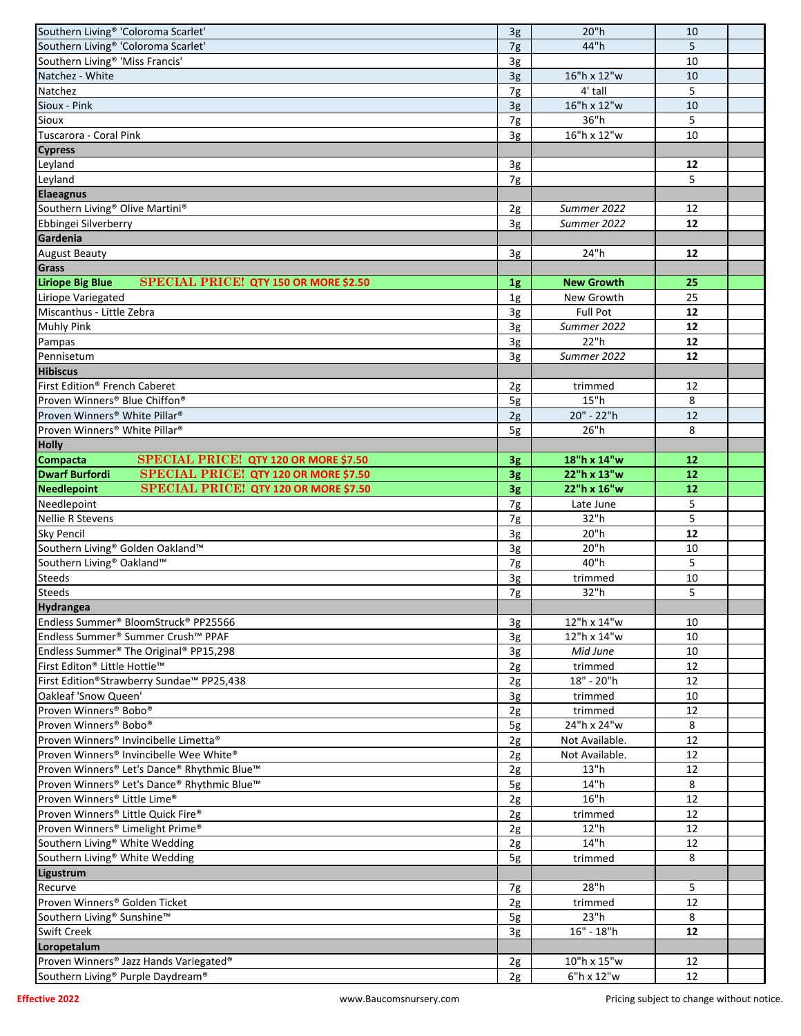| Southern Living <sup>®</sup> 'Coloroma Scarlet'                  | 3g             | 20"h              | 10              |  |
|------------------------------------------------------------------|----------------|-------------------|-----------------|--|
| Southern Living® 'Coloroma Scarlet'                              | 7g             | 44"h              | 5               |  |
| Southern Living <sup>®</sup> 'Miss Francis'                      | 3g             |                   | 10              |  |
| Natchez - White                                                  | 3g             | 16"h x 12"w       | 10              |  |
| Natchez                                                          | 7g             | 4' tall           | 5               |  |
| Sioux - Pink                                                     | 3g             | 16"h x 12"w       | 10              |  |
| Sioux                                                            | 7g             | 36"h              | 5               |  |
| Tuscarora - Coral Pink                                           | 3g             | 16"h x 12"w       | 10              |  |
| <b>Cypress</b>                                                   |                |                   |                 |  |
| Leyland                                                          | 3g             |                   | 12              |  |
| Leyland                                                          | 7g             |                   | 5               |  |
| <b>Elaeagnus</b>                                                 |                |                   |                 |  |
| Southern Living® Olive Martini®                                  | 2g             | Summer 2022       | 12              |  |
| Ebbingei Silverberry                                             | 3g             | Summer 2022       | 12 <sup>2</sup> |  |
| Gardenia                                                         |                |                   |                 |  |
| <b>August Beauty</b>                                             | 3g             | 24"h              | 12              |  |
| Grass                                                            |                |                   |                 |  |
| <b>Liriope Big Blue</b><br>SPECIAL PRICE! QTY 150 OR MORE \$2.50 | 1 <sub>g</sub> | <b>New Growth</b> | 25              |  |
| Liriope Variegated                                               | 1g             | New Growth        | 25              |  |
| Miscanthus - Little Zebra                                        | 3g             | Full Pot          | 12              |  |
| <b>Muhly Pink</b>                                                | 3g             | Summer 2022       | 12              |  |
| Pampas                                                           | 3g             | 22"h              | 12              |  |
| Pennisetum                                                       |                | Summer 2022       | 12              |  |
|                                                                  | 3g             |                   |                 |  |
| <b>Hibiscus</b>                                                  |                |                   |                 |  |
| First Edition® French Caberet                                    | 2g             | trimmed           | 12              |  |
| Proven Winners® Blue Chiffon®                                    | 5g             | 15"h              | 8               |  |
| Proven Winners® White Pillar®                                    | 2g             | 20" - 22"h        | 12              |  |
| Proven Winners® White Pillar®                                    | 5g             | 26"h              | 8               |  |
| <b>Holly</b>                                                     |                |                   |                 |  |
| SPECIAL PRICE! QTY 120 OR MORE \$7.50<br>Compacta                | 3g             | 18"h x 14"w       | 12              |  |
| SPECIAL PRICE! QTY 120 OR MORE \$7.50<br><b>Dwarf Burfordi</b>   | 3g             | 22"h x 13"w       | 12              |  |
| <b>Needlepoint</b><br>SPECIAL PRICE! QTY 120 OR MORE \$7.50      | 3g             | 22"h x 16"w       | 12              |  |
| Needlepoint                                                      | 7g             |                   | 5               |  |
|                                                                  |                | Late June         |                 |  |
| Nellie R Stevens                                                 | 7g             | 32"h              | 5               |  |
| Sky Pencil                                                       | 3g             | 20"h              | $\overline{12}$ |  |
| Southern Living® Golden Oakland™                                 | 3g             | 20"h              | 10              |  |
| Southern Living® Oakland™                                        | 7g             | 40"h              | 5               |  |
| <b>Steeds</b>                                                    | 3g             | trimmed           | 10              |  |
| <b>Steeds</b>                                                    | 7g             | 32"h              | 5               |  |
| Hydrangea                                                        |                |                   |                 |  |
| Endless Summer® BloomStruck® PP25566                             | 3g             | 12"h x 14"w       | 10              |  |
| Endless Summer® Summer Crush™ PPAF                               | 3g             | 12"h x 14"w       | 10              |  |
| Endless Summer® The Original® PP15,298                           | 3g             | Mid June          | 10              |  |
| First Editon® Little Hottie™                                     | 2g             | trimmed           | 12              |  |
| First Edition®Strawberry Sundae™ PP25,438                        | 2g             | 18" - 20"h        | 12              |  |
| Oakleaf 'Snow Queen'                                             | 3g             | trimmed           | 10              |  |
| Proven Winners® Bobo®                                            | 2g             | trimmed           | 12              |  |
| Proven Winners® Bobo®                                            | 5g             | 24"h x 24"w       | 8               |  |
| Proven Winners® Invincibelle Limetta®                            | 2g             | Not Available.    | 12              |  |
| Proven Winners® Invincibelle Wee White®                          | 2g             | Not Available.    | 12              |  |
| Proven Winners® Let's Dance® Rhythmic Blue™                      | 2g             | 13"h              | 12              |  |
| Proven Winners® Let's Dance® Rhythmic Blue™                      | 5g             | 14"h              | 8               |  |
| Proven Winners® Little Lime®                                     | 2g             | 16"h              | 12              |  |
| Proven Winners® Little Quick Fire®                               | 2g             | trimmed           | 12              |  |
| Proven Winners® Limelight Prime®                                 | 2g             | 12"h              | 12              |  |
| Southern Living® White Wedding                                   | 2g             | 14"h              | 12              |  |
| Southern Living® White Wedding                                   | 5g             | trimmed           | 8               |  |
| Ligustrum                                                        |                |                   |                 |  |
| Recurve                                                          | 7g             | 28"h              | 5               |  |
| Proven Winners® Golden Ticket                                    | 2g             | trimmed           | 12              |  |
| Southern Living® Sunshine™                                       | 5g             | 23"h              | 8               |  |
| <b>Swift Creek</b>                                               | 3g             | $16" - 18"h$      | 12              |  |
| Loropetalum                                                      |                |                   |                 |  |
| Proven Winners® Jazz Hands Variegated®                           | 2g             | 10"h x 15"w       | 12              |  |